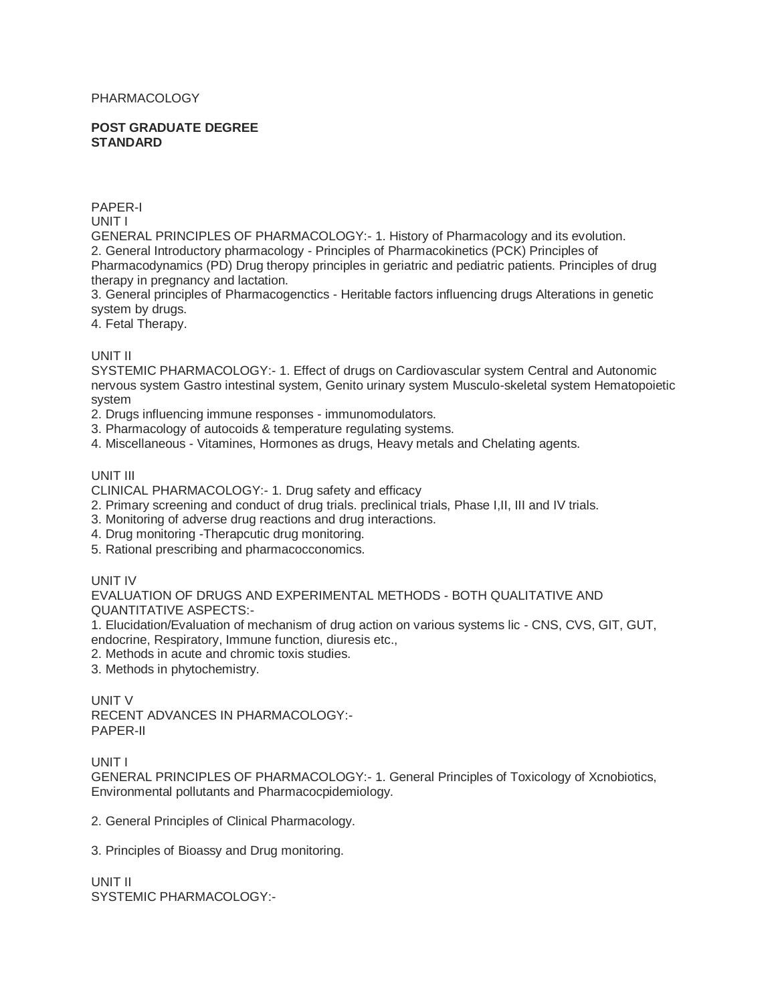## PHARMACOLOGY

#### **POST GRADUATE DEGREE STANDARD**

PAPER-I

UNIT I

GENERAL PRINCIPLES OF PHARMACOLOGY:- 1. History of Pharmacology and its evolution. 2. General Introductory pharmacology - Principles of Pharmacokinetics (PCK) Principles of Pharmacodynamics (PD) Drug theropy principles in geriatric and pediatric patients. Principles of drug therapy in pregnancy and lactation.

3. General principles of Pharmacogenctics - Heritable factors influencing drugs Alterations in genetic system by drugs.

4. Fetal Therapy.

## UNIT II

SYSTEMIC PHARMACOLOGY:- 1. Effect of drugs on Cardiovascular system Central and Autonomic nervous system Gastro intestinal system, Genito urinary system Musculo-skeletal system Hematopoietic system

- 2. Drugs influencing immune responses immunomodulators.
- 3. Pharmacology of autocoids & temperature regulating systems.
- 4. Miscellaneous Vitamines, Hormones as drugs, Heavy metals and Chelating agents.

## UNIT III

CLINICAL PHARMACOLOGY:- 1. Drug safety and efficacy

- 2. Primary screening and conduct of drug trials. preclinical trials, Phase I,II, III and IV trials.
- 3. Monitoring of adverse drug reactions and drug interactions.
- 4. Drug monitoring -Therapcutic drug monitoring.
- 5. Rational prescribing and pharmacocconomics.

# UNIT IV

EVALUATION OF DRUGS AND EXPERIMENTAL METHODS - BOTH QUALITATIVE AND QUANTITATIVE ASPECTS:-

1. Elucidation/Evaluation of mechanism of drug action on various systems lic - CNS, CVS, GIT, GUT, endocrine, Respiratory, Immune function, diuresis etc.,

- 2. Methods in acute and chromic toxis studies.
- 3. Methods in phytochemistry.

UNIT V RECENT ADVANCES IN PHARMACOLOGY:- PAPER-II

UNIT I

GENERAL PRINCIPLES OF PHARMACOLOGY:- 1. General Principles of Toxicology of Xcnobiotics, Environmental pollutants and Pharmacocpidemiology.

2. General Principles of Clinical Pharmacology.

3. Principles of Bioassy and Drug monitoring.

UNIT II SYSTEMIC PHARMACOLOGY:-